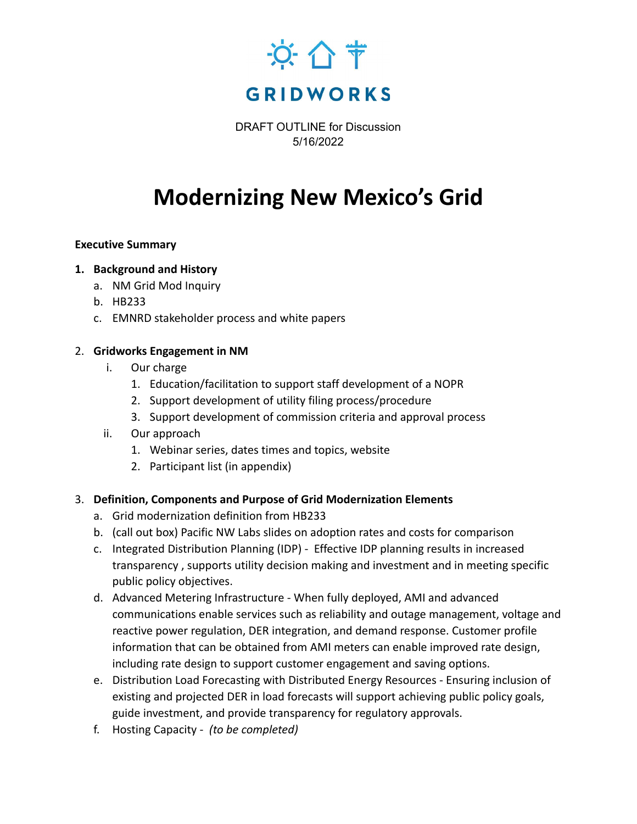

DRAFT OUTLINE for Discussion 5/16/2022

# **Modernizing New Mexico's Grid**

### **Executive Summary**

# **1. Background and History**

- a. NM Grid Mod Inquiry
- b. HB233
- c. EMNRD stakeholder process and white papers

### 2. **Gridworks Engagement in NM**

- i. Our charge
	- 1. Education/facilitation to support staff development of a NOPR
	- 2. Support development of utility filing process/procedure
	- 3. Support development of commission criteria and approval process
- ii. Our approach
	- 1. Webinar series, dates times and topics, website
	- 2. Participant list (in appendix)

### 3. **Definition, Components and Purpose of Grid Modernization Elements**

- a. Grid modernization definition from HB233
- b. (call out box) Pacific NW Labs slides on adoption rates and costs for comparison
- c. Integrated Distribution Planning (IDP) Effective IDP planning results in increased transparency , supports utility decision making and investment and in meeting specific public policy objectives.
- d. Advanced Metering Infrastructure When fully deployed, AMI and advanced communications enable services such as reliability and outage management, voltage and reactive power regulation, DER integration, and demand response. Customer profile information that can be obtained from AMI meters can enable improved rate design, including rate design to support customer engagement and saving options.
- e. Distribution Load Forecasting with Distributed Energy Resources Ensuring inclusion of existing and projected DER in load forecasts will support achieving public policy goals, guide investment, and provide transparency for regulatory approvals.
- f. Hosting Capacity *(to be completed)*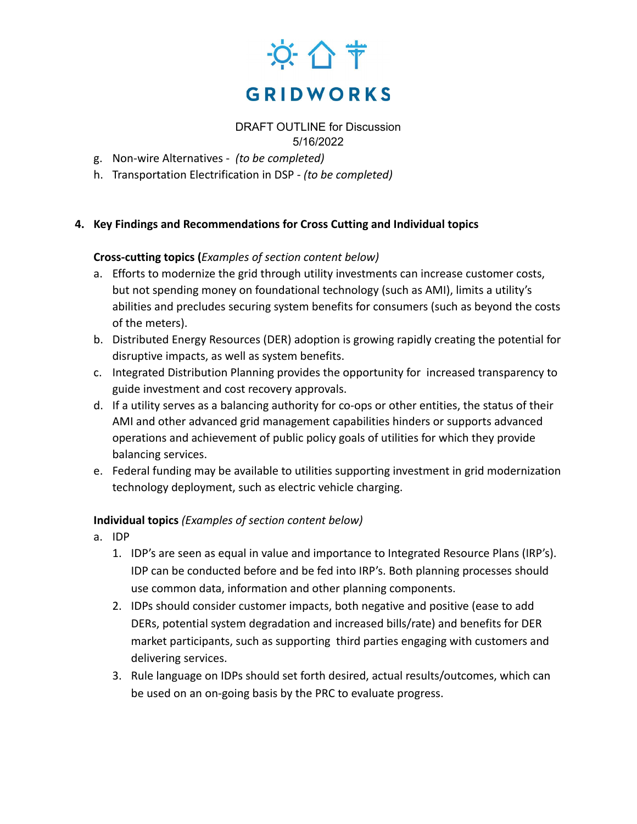

DRAFT OUTLINE for Discussion 5/16/2022

- g. Non-wire Alternatives *(to be completed)*
- h. Transportation Electrification in DSP *(to be completed)*

### **4. Key Findings and Recommendations for Cross Cutting and Individual topics**

### **Cross-cutting topics (***Examples of section content below)*

- a. Efforts to modernize the grid through utility investments can increase customer costs, but not spending money on foundational technology (such as AMI), limits a utility's abilities and precludes securing system benefits for consumers (such as beyond the costs of the meters).
- b. Distributed Energy Resources (DER) adoption is growing rapidly creating the potential for disruptive impacts, as well as system benefits.
- c. Integrated Distribution Planning provides the opportunity for increased transparency to guide investment and cost recovery approvals.
- d. If a utility serves as a balancing authority for co-ops or other entities, the status of their AMI and other advanced grid management capabilities hinders or supports advanced operations and achievement of public policy goals of utilities for which they provide balancing services.
- e. Federal funding may be available to utilities supporting investment in grid modernization technology deployment, such as electric vehicle charging.

# **Individual topics** *(Examples of section content below)*

- a. IDP
	- 1. IDP's are seen as equal in value and importance to Integrated Resource Plans (IRP's). IDP can be conducted before and be fed into IRP's. Both planning processes should use common data, information and other planning components.
	- 2. IDPs should consider customer impacts, both negative and positive (ease to add DERs, potential system degradation and increased bills/rate) and benefits for DER market participants, such as supporting third parties engaging with customers and delivering services.
	- 3. Rule language on IDPs should set forth desired, actual results/outcomes, which can be used on an on-going basis by the PRC to evaluate progress.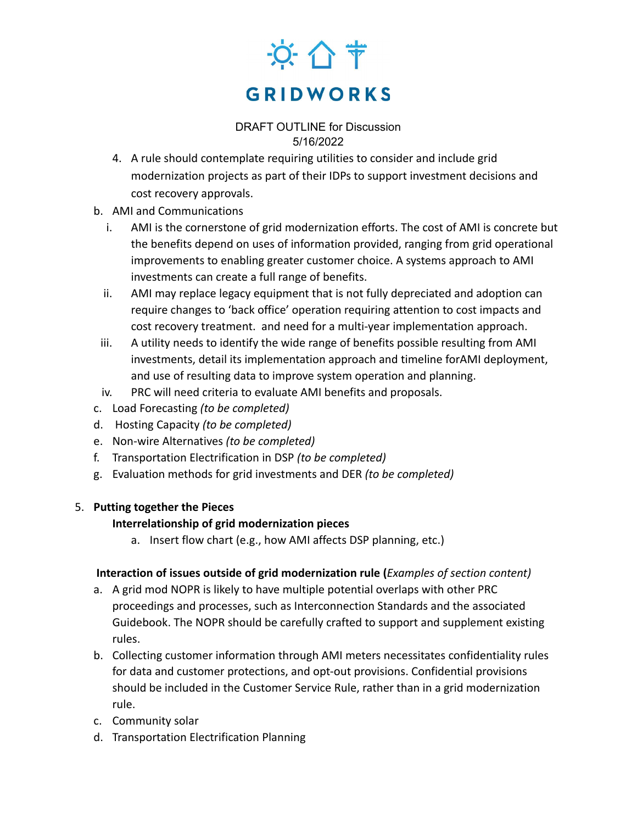# 京 合节 **GRIDWORKS**

# DRAFT OUTLINE for Discussion 5/16/2022

- 4. A rule should contemplate requiring utilities to consider and include grid modernization projects as part of their IDPs to support investment decisions and cost recovery approvals.
- b. AMI and Communications
	- i. AMI is the cornerstone of grid modernization efforts. The cost of AMI is concrete but the benefits depend on uses of information provided, ranging from grid operational improvements to enabling greater customer choice. A systems approach to AMI investments can create a full range of benefits.
	- ii. AMI may replace legacy equipment that is not fully depreciated and adoption can require changes to 'back office' operation requiring attention to cost impacts and cost recovery treatment. and need for a multi-year implementation approach.
- iii. A utility needs to identify the wide range of benefits possible resulting from AMI investments, detail its implementation approach and timeline forAMI deployment, and use of resulting data to improve system operation and planning.
- iv. PRC will need criteria to evaluate AMI benefits and proposals.
- c. Load Forecasting *(to be completed)*
- d. Hosting Capacity *(to be completed)*
- e. Non-wire Alternatives *(to be completed)*
- f. Transportation Electrification in DSP *(to be completed)*
- g. Evaluation methods for grid investments and DER *(to be completed)*

# 5. **Putting together the Pieces**

# **Interrelationship of grid modernization pieces**

a. Insert flow chart (e.g., how AMI affects DSP planning, etc.)

# **Interaction of issues outside of grid modernization rule (***Examples of section content)*

- a. A grid mod NOPR is likely to have multiple potential overlaps with other PRC proceedings and processes, such as Interconnection Standards and the associated Guidebook. The NOPR should be carefully crafted to support and supplement existing rules.
- b. Collecting customer information through AMI meters necessitates confidentiality rules for data and customer protections, and opt-out provisions. Confidential provisions should be included in the Customer Service Rule, rather than in a grid modernization rule.
- c. Community solar
- d. Transportation Electrification Planning